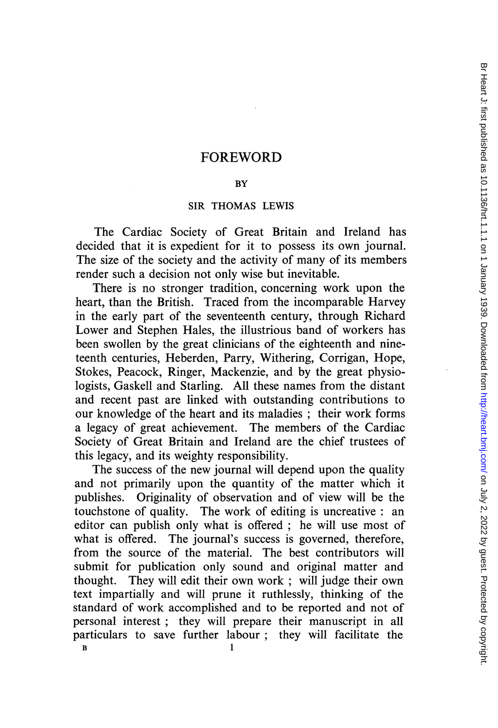## FOREWORD

## **BY**

## SIR THOMAS LEWIS

The Cardiac Society of Great Britain and Ireland has decided that it is expedient for it to possess its own journal. The size of the society and the activity of many of its members render such a decision not only wise but inevitable.

There is no stronger tradition, concerning work upon the heart, than the British. Traced from the incomparable Harvey in the early part of the seventeenth century, through Richard Lower and Stephen Hales, the illustrious band of workers has been swollen by the great clinicians of the eighteenth and nineteenth centuries, Heberden, Parry, Withering, Corrigan, Hope, Stokes, Peacock, Ringer, Mackenzie, and by the great physiologists, Gaskell and Starling. All these names from the distant and recent past are linked with outstanding contributions to our knowledge of the heart and its maladies ; their work forms a legacy of great achievement. The members of the Cardiac Society of Great Britain and Ireland are the chief trustees of this legacy, and its weighty responsibility.

The success of the new journal will depend upon the quality and not primarily upon the quantity of the matter which it publishes. Originality of observation and of view will be the touchstone of quality. The work of editing is uncreative : an editor can publish only what is offered ; he will use most of what is offered. The journal's success is governed, therefore, from the source of the material. The best contributors will submit for publication only sound and original matter and thought. They will edit their own work ; will judge their own text impartially and will prune it ruthlessly, thinking of the standard of work accomplished and to be reported and not of personal interest ; they will prepare their manuscript in all particulars to save further labour ; they will facilitate the  $\mathbf{B}$  1